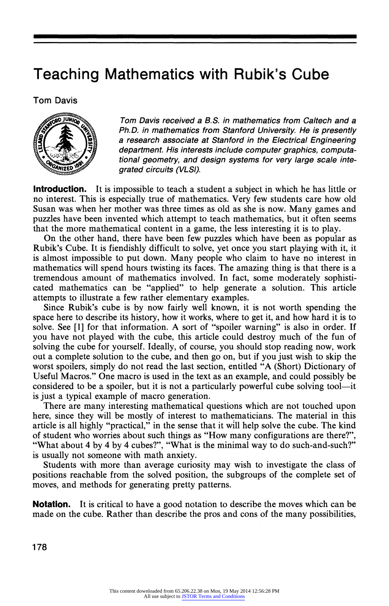## Teaching Mathematics with Rubik's Cube

Tom Davis



Tom Davis received a B.S. in mathematics from Caltech and a Ph.D. in mathematics from Stanford University. He is presently a research associate at Stanford in the Electrical Engineering department. His interests include computer graphics, computational geometry, and design systems for very large scale integrated circuits (VLSI).

**Introduction.** It is impossible to teach a student a subject in which he has little or no interest. This is especially true of mathematics. Very few students care how old Susan was when her mother was three times as old as she is now. Many games and puzzles have been invented which attempt to teach mathematics, but it often seems that the more mathematical content in a game, the less interesting it is to play.

On the other hand, there have been few puzzles which have been as popular as Rubik's Cube. It is fiendishly difficult to solve, yet once you start playing with it, it is almost impossible to put down. Many people who claim to have no interest in mathematics will spend hours twisting its faces. The amazing thing is that there is a tremendous amount of mathematics involved. In fact, some moderately sophisticated mathematics can be "applied" to help generate a solution. This article attempts to illustrate afew rather elementary examples.

Since Rubik's cube is by now fairly well known, it is not worth spending the space here to describe its history, how it works, where to get it, and how hard it is to solve. See [1] for that information. A sort of "spoiler warning" is also in order. If you have not played with the cube, this article could destroy much of the fun of solving the cube for yourself. Ideally, of course, you should stop reading now, work out a complete solution to the cube, and then go on, but if you just wish to skip the worst spoilers, simply do not read the last section, entitled "A (Short) Dictionary of Useful Macros." One macro is used in the text as an example, and could possibly be considered to be a spoiler, but it is not a particularly powerful cube solving tool—it is just a typical example of macro generation.

There are many interesting mathematical questions which are not touched upon here, since they will be mostly of interest to mathematicians. The material in this article is all highly "practical," in the sense that it will help solve the cube. The kind of student who worries about such things as "How many configurations are there?", "What about 4 by 4 by 4 cubes?", "What is the minimal way to do such-and-such?" is usually not someone with math anxiety.

Students with more than average curiosity may wish to investigate the class of positions reachable from the solved position, the subgroups of the complete set of moves, and methods for generating pretty patterns.

**Notation.** It is critical to have a good notation to describe the moves which can be made on the cube. Rather than describe the pros and cons of the many possibilities,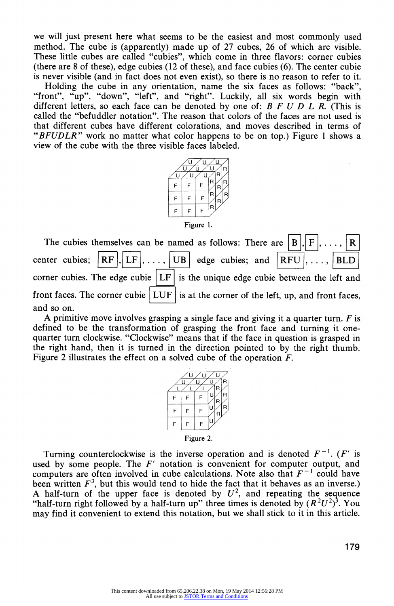we will just present here what seems to be the easiest and most commonly used method. The cube is (apparently) made up of 27 cubes, 26 of which are visible. These little cubes are called "cubies", which come in three flavors: corner cubies (there are 8 of these), edge cubies (12 of these), and face cubies (6). The center cubie is never visible (and in fact does not even exist), so there is no reason to refer to it.

Holding the cube in any orientation, name the six faces as follows: "back", "front", "up", "down", "left", and "right". Luckily, all six words begin with different letters, so each face can be denoted by one of:  $B F U D L R$ . (This is called the "befuddler notation". The reason that colors of the faces are not used is that different cubes have different colorations, and moves described in terms of "BFUDLR" work no matter what color happens to be on top.) Figure 1 shows a view of the cube with the three visible faces labeled.



Figure 1.

The cubies themselves can be named as follows: There are  $\vert$  B R. center cubies;  $\|RF\|, |LF|, \ldots, |UB|$  edge cubies; and  $\|RFU\|, \ldots, |BLD|$ corner cubies. The edge cubie  $|LF|$  is the unique edge cubie between the left and front faces. The corner cubie  $|LUF|$  is at the corner of the left, up, and front faces, and so on.

A primitive move involves grasping a single face and giving it a quarter turn.  $F$  is defined to be the transformation of grasping the front face and turning it onequarter turn clockwise. "Clockwise" means that if the face in question is grasped in the right hand, then it is turned in the direction pointed to by the right thumb. Figure 2 illustrates the effect on a solved cube of the operation F.



Turning counterclockwise is the inverse operation and is denoted  $F^{-1}$ . (F' is used by some people. The  $F'$  notation is convenient for computer output, and computers are often involved in cube calculations. Note also that  $F^{-1}$  could have been written  $F<sup>3</sup>$ , but this would tend to hide the fact that it behaves as an inverse.) A half-turn of the upper face is denoted by  $U^2$ , and repeating the sequence "half-turn right followed by a half-turn up" three times is denoted by  $(R^2U^2)^3$ . You may find it convenient to extend this notation, but we shall stick to it in this article.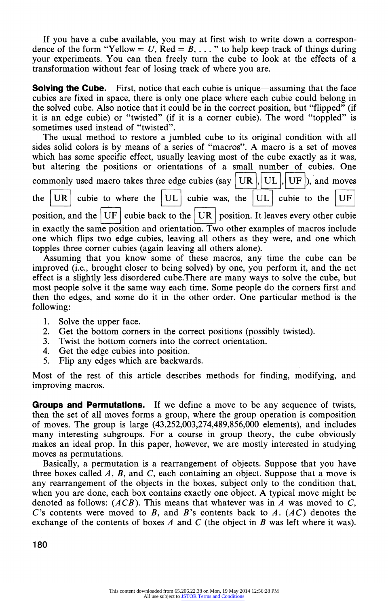If you have a cube available, you may at first wish to write down a correspondence of the form "Yellow = U,  $\text{Red} = \mathbf{B}, \ldots$ " to help keep track of things during your experiments. You can then freely turn the cube to look at the effects of a transformation without fear of losing track of where you are.

Solving the Cube. First, notice that each cubie is unique—assuming that the face cubies are fixed in space, there is only one place where each cubie could belong in the solved cube. Also notice that it could be in the correct position, but "flipped" (if it is an edge cubie) or "twisted" (if it is a corner cubie). The word "toppled" is sometimes used instead of "twisted".

| The usual method to restore a jumbled cube to its original condition with all                         |
|-------------------------------------------------------------------------------------------------------|
| sides solid colors is by means of a series of "macros". A macro is a set of moves                     |
| which has some specific effect, usually leaving most of the cube exactly as it was,                   |
| but altering the positions or orientations of a small number of cubies. One                           |
| commonly used macro takes three edge cubies (say $ \text{UR} ,  \text{UL} ,  \text{UF} $ ), and moves |
| the $ UR $ cubie to where the $ UL $ cubie was, the $ UL $ cubie to the $ UF $                        |
| position, and the $ UF $ cubie back to the $ UR $ position. It leaves every other cubie               |
| in exactly the same position and orientation. Two other examples of macros include                    |
| one which flips two edge cubies, leaving all others as they were, and one which                       |
| topples three corner cubies (again leaving all others alone).                                         |

Assuming that you know some of these macros, any time the cube can be improved (i.e., brought closer to being solved) by one, you perform it, and the net effect is a slightly less disordered cube.There are many ways to solve the cube, but most people solve it the same way each time. Some people do the corners first and then the edges, and some do it in the other order. One particular method is the following:

- 1. Solve the upper face.
- 2. Get the bottom corners in the correct positions (possibly twisted).
- 3. Twist the bottom corners into the correct orientation.
- 4. Get the edge cubies into position.<br>5. Flip any edges which are backway
- Flip any edges which are backwards.

Most of the rest of this article describes methods for finding, modifying, and improving macros.

**Groups and Permutations.** If we define a move to be any sequence of twists, then the set of all moves forms a group, where the group operation is composition of moves. The group is large (43,252,003,274,489,856,000 elements), and includes many interesting subgroups. For a course in group theory, the cube obviously makes an ideal prop. In this paper, however, we are mostly interested in studying moves as permutations.

Basically, a permutation is a rearrangement of objects. Suppose that you have three boxes called  $A$ ,  $B$ , and  $C$ , each containing an object. Suppose that a move is any rearrangement of the objects in the boxes, subject only to the condition that, when you are done, each box contains exactly one object. A typical move might be denoted as follows:  $(ACB)$ . This means that whatever was in A was moved to C, C's contents were moved to B, and B's contents back to A.  $(AC)$  denotes the exchange of the contents of boxes A and C (the object in B was left where it was).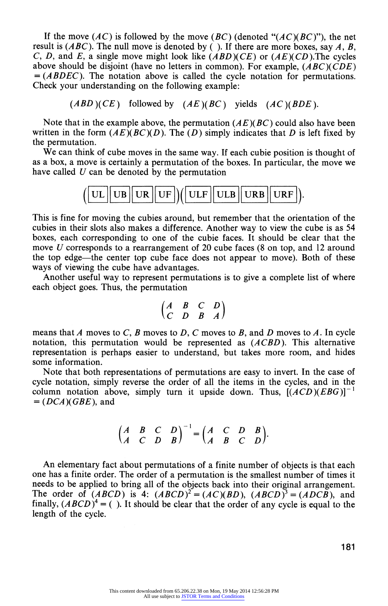If the move  $(AC)$  is followed by the move  $(BC)$  (denoted " $(AC)(BC)$ "), the net result is  $(ABC)$ . The null move is denoted by (). If there are more boxes, say A, B, C, D, and E, a single move might look like  $(ABD)(CE)$  or  $(AE)(CD)$ . The cycles above should be disjoint (have no letters in common). For example,  $(ABC)(CDE)$  $= (ABDEC)$ . The notation above is called the cycle notation for permutations. Check your understanding on the following example:

 $(ABD)(CE)$  followed by  $(AE)(BC)$  yields  $(AC)(BDE)$ .

Note that in the example above, the permutation  $(AE)(BC)$  could also have been written in the form  $(AE)(BC)(D)$ . The (D) simply indicates that D is left fixed by the permutation.

We can think of cube moves in the same way. If each cubie position is thought of as a box, a move is certainly a permutation of the boxes. In particular, the move we have called  $U$  can be denoted by the permutation

$$
\left(\boxed{\text{UL} \text{UB} \text{UR} \text{UF}}\right)\left(\boxed{\text{ULF} \text{ULB} \text{URB} \text{URF}}\right).
$$

This is fine for moving the cubies around, but remember that the orientation of the cubies in their slots also makes a difference. Another way to view the cube is as 54 boxes, each corresponding to one of the cubie faces. It should be clear that the move U corresponds to a rearrangement of 20 cube faces (8 on top, and 12 around the top edge-the center top cube face does not appear to move). Both of these ways of viewing the cube have advantages.

Another useful way to represent permutations is to give a complete list of where each object goes. Thus, the permutation

$$
\begin{pmatrix} A & B & C & D \\ C & D & B & A \end{pmatrix}
$$

means that A moves to C, B moves to D, C moves to B, and D moves to A. In cycle notation, this permutation would be represented as  $(ACBD)$ . This alternative representation is perhaps easier to understand, but takes more room, and hides some information.

Note that both representations of permutations are easy to invert. In the case of cycle notation, simply reverse the order of all the items in the cycles, and in the column notation above, simply turn it upside down. Thus,  $[(ACD)(EBG)]^{-1}$  $= (DCA)(GBE)$ , and

$$
\begin{pmatrix} A & B & C & D \\ A & C & D & B \end{pmatrix}^{-1} = \begin{pmatrix} A & C & D & B \\ A & B & C & D \end{pmatrix}.
$$

An elementary fact about permutations of a finite number of objects is that each one has a finite order. The order of a permutation is the smallest number of times it needs to be applied to bring all of the objects back into their original arrangement. The order of  $(ABCD)$  is 4:  $(ABCD)^2 = (AC)(BD)$ ,  $(ABCD)^3 = (ADCB)$ , and finally,  $(ABCD)^4 = ($ ). It should be clear that the order of any cycle is equal to the length of the cycle.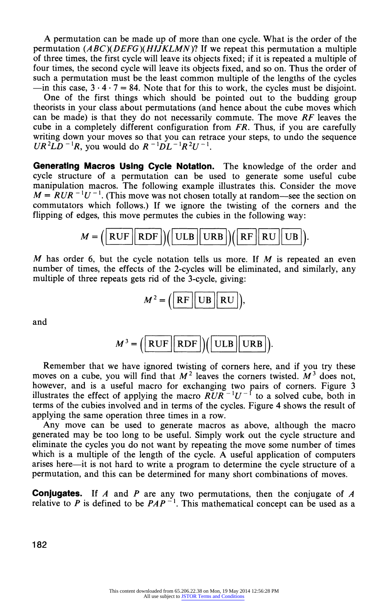A permutation can be made up of more than one cycle. What is the order of the permutation  $(ABC)(DEFG)(HJKLMN)$ ? If we repeat this permutation a multiple of three times, the first cycle will leave its objects fixed; if it is repeated a multiple of four times, the second cycle will leave its objects fixed, and so on. Thus the order of such a permutation must be the least common multiple of the lengths of the cycles  $-$ in this case,  $3 \cdot 4 \cdot 7 = 84$ . Note that for this to work, the cycles must be disjoint.

One of the first things which should be pointed out to the budding group theorists in your class about permutations (and hence about the cube moves which can be made) is that they do not necessarily commute. The move  $RF$  leaves the cube in a completely different configuration from  $FR$ . Thus, if you are carefully writing down your moves so that you can retrace your steps, to undo the sequence  $UR^2LD^{-1}R$ , you would do  $R^{-1}DL^{-1}R^2U^{-1}$ .

Generating Macros Using Cycle Notation. The knowledge of the order and cycle structure of a permutation can be used to generate some useful cube manipulation macros. The following example illustrates this. Consider the move  $M = R U R^{-1} U^{-1}$ . (This move was not chosen totally at random—see the section on commutators which follows.) If we ignore the twisting of the corners and the flipping of edges, this move permutes the cubies in the following way:



 $M$  has order 6, but the cycle notation tells us more. If  $M$  is repeated an even number of times, the effects of the 2-cycles will be eliminated, and similarly, any multiple of three repeats gets rid of the 3-cycle, giving:

$$
M^2 = \left(\begin{array}{|c|c|}\n\hline\n\text{RF} & \text{UB} & \text{RU}\n\end{array}\right),
$$

and

$$
M^{3} = \left(\boxed{\text{RUF} \mid \text{RDF}}\right) \left(\boxed{\text{ULB} \mid \text{URB}}\right).
$$

Remember that we have ignored twisting of corners here, and if you try these moves on a cube, you will find that  $M^2$  leaves the corners twisted.  $M^3$  does not, however, and is a useful macro for exchanging two pairs of corners. Figure 3 illustrates the effect of applying the macro  $\widetilde{RUR}^{-1}U^{-1}$  to a solved cube, both in terms of the cubies involved and in terms of the cycles. Figure 4 shows the result of applying the same operation three times in a row.

Any move can be used to generate macros as above, although the macro generated may be too long to be useful. Simply work out the cycle structure and eliminate the cycles you do not want by repeating the move some number of times which is a multiple of the length of the cycle. A useful application of computers arises here-it is not hard to write a program to determine the cycle structure of a permutation, and this can be determined for many short combinations of moves.

**Conjugates.** If A and P are any two permutations, then the conjugate of A relative to P is defined to be  $PAP^{-1}$ . This mathematical concept can be used as a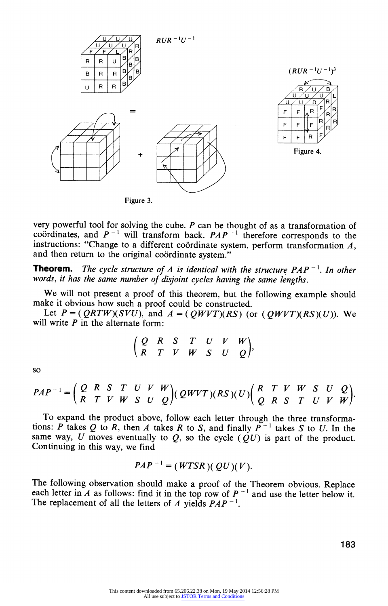

very powerful tool for solving the cube.  $P$  can be thought of as a transformation of coordinates, and  $P^{-1}$  will transform back.  $PAP^{-1}$  therefore corresponds to the instructions: "Change to a different coördinate system, perform transformation  $A$ , and then return to the original coördinate system."

**Theorem.** The cycle structure of A is identical with the structure  $PAP^{-1}$ . In other words, it has the same number of disjoint cycles having the same lengths.

We will not present a proof of this theorem, but the following example should make it obvious how such a proof could be constructed.

Let  $P = (QRTW)(SVU)$ , and  $A = (QWVT)(RS)$  (or  $(QWVT)(RS)(U)$ ). We will write  $P$  in the alternate form:

$$
\left(\begin{array}{ccccccccc}\nQ & R & S & T & U & V & W \\
R & T & V & W & S & U & Q\n\end{array}\right),
$$

so

$$
PAP^{-1} = \begin{pmatrix} Q & R & S & T & U & V & W \\ R & T & V & W & S & U & Q \end{pmatrix} (QWVT)(RS)(U) \begin{pmatrix} R & T & V & W & S & U & Q \\ Q & R & S & T & U & V & W \end{pmatrix}.
$$

To expand the product above, follow each letter through the three transformations: P takes Q to R, then A takes R to S, and finally  $P^{-1}$  takes S to U. In the same way, U moves eventually to  $Q$ , so the cycle  $( QU)$  is part of the product. Continuing in this way, we find

$$
PAP^{-1} = (WTSR)(QU)(V).
$$

The following observation should make a proof of the Theorem obvious. Replace each letter in A as follows: find it in the top row of  $P^{-1}$  and use the letter below it. The replacement of all the letters of A yields  $PAP^{-1}$ .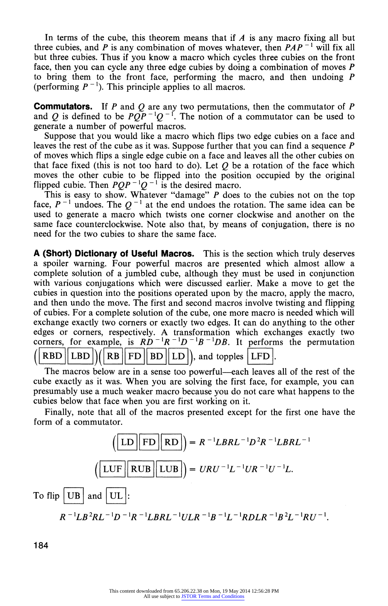In terms of the cube, this theorem means that if  $\vec{A}$  is any macro fixing all but three cubies, and P is any combination of moves whatever, then  $PAP^{-1}$  will fix all but three cubies. Thus if you know a macro which cycles three cubies on the front face, then you can cycle any three edge cubies by doing a combination of moves P to bring them to the front face, performing the macro, and then undoing P (performing  $P^{-1}$ ). This principle applies to all macros.

**Commutators.** If P and Q are any two permutations, then the commutator of P and Q is defined to be  $P\overline{QP}^{-1}Q^{-1}$ . The notion of a commutator can be used to generate a number of powerful macros.

Suppose that you would like a macro which flips two edge cubies on a face and leaves the rest of the cube as it was. Suppose further that you can find a sequence  $$ of moves which flips a single edge cubie on a face and leaves all the other cubies on that face fixed (this is not too hard to do). Let  $Q$  be a rotation of the face which moves the other cubie to be flipped into the position occupied by the original flipped cubie. Then  $PQP^{-1}Q^{-1}$  is the desired macro.

This is easy to show. Whatever "damage" P does to the cubies not on the top face,  $P^{-1}$  undoes. The  $Q^{-1}$  at the end undoes the rotation. The same idea can be used to generate a macro which twists one corner clockwise and another on the same face counterclockwise. Note also that, by means of conjugation, there is no need for the two cubies to share the same face.

A (Short) Dictionary of Useful Macros. This is the section which truly deserves a spoiler warning. Four powerful macros are presented which almost allow a complete solution of a jumbled cube, although they must be used in conjunction with various conjugations which were discussed earlier. Make a move to get the cubies in question into the positions operated upon by the macro, apply the macro, and then undo the move. The first and second macros involve twisting and flipping of cubies. For a complete solution of the cube, one more macro is needed which will exchange exactly two corners or exactly two edges. It can do anything to the other edges or corners, respectively. A transformation which exchanges exactly two corners, for example, is  $R\ddot{D}^{-1}R^{-1}D^{-1}B^{-1}DB$ . It performs the permutation RBD  $\|$  LBD  $\|$  ( RB  $\|$  FD  $\|$  BD  $\|$  LD  $\|$ ), and topples  $|$  LFD

The macros below are in a sense too powerful—each leaves all of the rest of the cube exactly as it was. When you are solving the first face, for example, you can presumably use a much weaker macro because you do not care what happens to the cubies below that face when you are first working on it.

Finally, note that all of the macros presented except for the first one have the form of a commutator.

$$
\left(\boxed{\text{LD}\boxed{\text{FD}}\boxed{\text{RD}}}\right) = R^{-1}LBRL^{-1}D^{2}R^{-1}LBRL^{-1}
$$
\n
$$
\left(\boxed{\text{LUF}\boxed{\text{RUB}}\boxed{\text{LUB}}}\right) = URU^{-1}L^{-1}UR^{-1}U^{-1}L.
$$
\nTo flip  $\boxed{\text{UB}}$  and  $\boxed{\text{UL}}$ :\n
$$
R^{-1}LB^{2}RL^{-1}D^{-1}R^{-1}LBRL^{-1}ULR^{-1}B^{-1}L^{-1}RDLR^{-1}B^{2}L^{-1}RU^{-1}.
$$

184